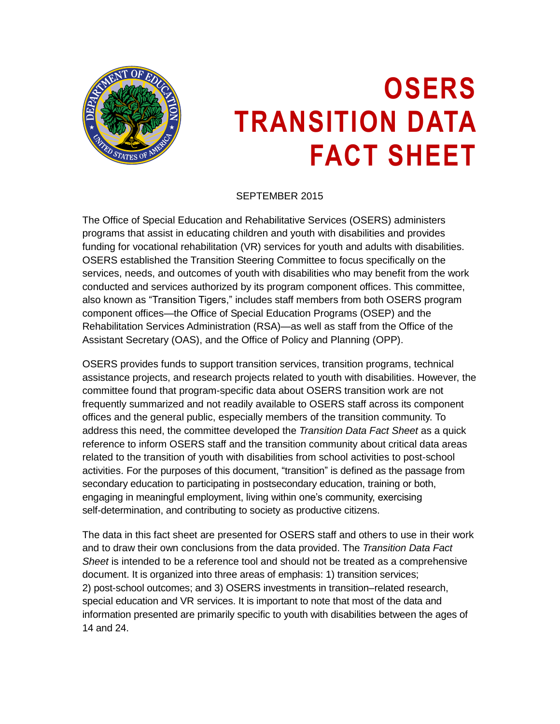

# **OSERS TRANSITION DATA FACT SHEET**

SEPTEMBER 2015

The Office of Special Education and Rehabilitative Services (OSERS) administers programs that assist in educating children and youth with disabilities and provides funding for vocational rehabilitation (VR) services for youth and adults with disabilities. OSERS established the Transition Steering Committee to focus specifically on the services, needs, and outcomes of youth with disabilities who may benefit from the work conducted and services authorized by its program component offices. This committee, also known as "Transition Tigers," includes staff members from both OSERS program component offices—the Office of Special Education Programs (OSEP) and the Rehabilitation Services Administration (RSA)—as well as staff from the Office of the Assistant Secretary (OAS), and the Office of Policy and Planning (OPP).

OSERS provides funds to support transition services, transition programs, technical assistance projects, and research projects related to youth with disabilities. However, the committee found that program-specific data about OSERS transition work are not frequently summarized and not readily available to OSERS staff across its component offices and the general public, especially members of the transition community. To address this need, the committee developed the *Transition Data Fact Sheet* as a quick reference to inform OSERS staff and the transition community about critical data areas related to the transition of youth with disabilities from school activities to post-school activities. For the purposes of this document, "transition" is defined as the passage from secondary education to participating in postsecondary education, training or both, engaging in meaningful employment, living within one's community, exercising self-determination, and contributing to society as productive citizens.

The data in this fact sheet are presented for OSERS staff and others to use in their work and to draw their own conclusions from the data provided. The *Transition Data Fact Sheet* is intended to be a reference tool and should not be treated as a comprehensive document. It is organized into three areas of emphasis: 1) transition services; 2) post-school outcomes; and 3) OSERS investments in transition–related research, special education and VR services. It is important to note that most of the data and information presented are primarily specific to youth with disabilities between the ages of 14 and 24.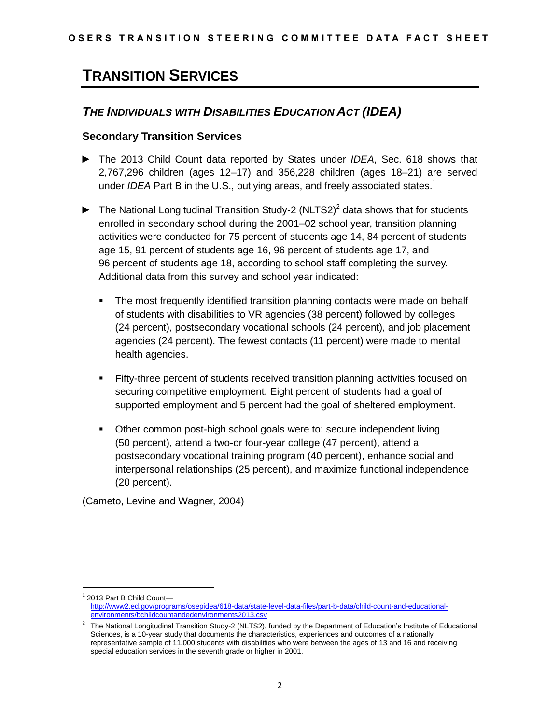## **TRANSITION SERVICES**

### *THE INDIVIDUALS WITH DISABILITIES EDUCATION ACT (IDEA)*

#### **Secondary Transition Services**

- ► The 2013 Child Count data reported by States under *IDEA*, Sec. 618 shows that 2,767,296 children (ages 12–17) and 356,228 children (ages 18–21) are served under *IDEA* Part B in the U.S., outlying areas, and freely associated states. 1
- $\blacktriangleright$  The National Longitudinal Transition Study-2 (NLTS2)<sup>2</sup> data shows that for students enrolled in secondary school during the 2001–02 school year, transition planning activities were conducted for 75 percent of students age 14, 84 percent of students age 15, 91 percent of students age 16, 96 percent of students age 17, and 96 percent of students age 18, according to school staff completing the survey. Additional data from this survey and school year indicated:
	- The most frequently identified transition planning contacts were made on behalf of students with disabilities to VR agencies (38 percent) followed by colleges (24 percent), postsecondary vocational schools (24 percent), and job placement agencies (24 percent). The fewest contacts (11 percent) were made to mental health agencies.
	- Fifty-three percent of students received transition planning activities focused on securing competitive employment. Eight percent of students had a goal of supported employment and 5 percent had the goal of sheltered employment.
	- Other common post-high school goals were to: secure independent living (50 percent), attend a two-or four-year college (47 percent), attend a postsecondary vocational training program (40 percent), enhance social and interpersonal relationships (25 percent), and maximize functional independence (20 percent).

(Cameto, Levine and Wagner, 2004)

<sup>1</sup> 2013 Part B Child Count [http://www2.ed.gov/programs/osepidea/618-data/state-level-data-files/part-b-data/child-count-and-educational](http://www2.ed.gov/programs/osepidea/618-data/state-level-data-files/part-b-data/child-count-and-educational-environments/bchildcountandedenvironments2013.csv)[environments/bchildcountandedenvironments2013.csv](http://www2.ed.gov/programs/osepidea/618-data/state-level-data-files/part-b-data/child-count-and-educational-environments/bchildcountandedenvironments2013.csv)

<sup>2</sup> The National Longitudinal Transition Study-2 (NLTS2), funded by the Department of Education's Institute of Educational Sciences, is a 10-year study that documents the characteristics, experiences and outcomes of a nationally representative sample of 11,000 students with disabilities who were between the ages of 13 and 16 and receiving special education services in the seventh grade or higher in 2001.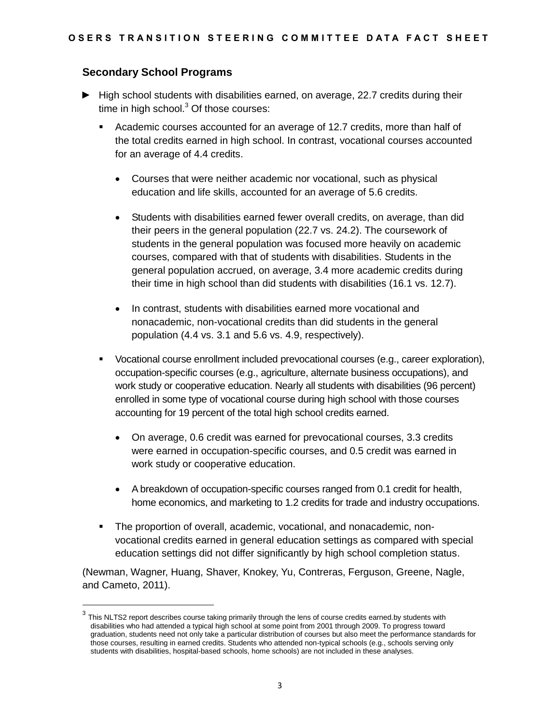#### **Secondary School Programs**

 $\overline{a}$ 

- ► High school students with disabilities earned, on average, 22.7 credits during their time in high school. $3$  Of those courses:
	- Academic courses accounted for an average of 12.7 credits, more than half of the total credits earned in high school. In contrast, vocational courses accounted for an average of 4.4 credits.
		- Courses that were neither academic nor vocational, such as physical education and life skills, accounted for an average of 5.6 credits.
		- Students with disabilities earned fewer overall credits, on average, than did their peers in the general population (22.7 vs. 24.2). The coursework of students in the general population was focused more heavily on academic courses, compared with that of students with disabilities. Students in the general population accrued, on average, 3.4 more academic credits during their time in high school than did students with disabilities (16.1 vs. 12.7).
		- In contrast, students with disabilities earned more vocational and nonacademic, non-vocational credits than did students in the general population (4.4 vs. 3.1 and 5.6 vs. 4.9, respectively).
	- Vocational course enrollment included prevocational courses (e.g., career exploration), occupation-specific courses (e.g., agriculture, alternate business occupations), and work study or cooperative education. Nearly all students with disabilities (96 percent) enrolled in some type of vocational course during high school with those courses accounting for 19 percent of the total high school credits earned.
		- On average, 0.6 credit was earned for prevocational courses, 3.3 credits were earned in occupation-specific courses, and 0.5 credit was earned in work study or cooperative education.
		- A breakdown of occupation-specific courses ranged from 0.1 credit for health, home economics, and marketing to 1.2 credits for trade and industry occupations.
	- The proportion of overall, academic, vocational, and nonacademic, nonvocational credits earned in general education settings as compared with special education settings did not differ significantly by high school completion status.

(Newman, Wagner, Huang, Shaver, Knokey, Yu, Contreras, Ferguson, Greene, Nagle, and Cameto, 2011).

<sup>3</sup> This NLTS2 report describes course taking primarily through the lens of course credits earned.by students with disabilities who had attended a typical high school at some point from 2001 through 2009. To progress toward graduation, students need not only take a particular distribution of courses but also meet the performance standards for those courses, resulting in earned credits. Students who attended non-typical schools (e.g., schools serving only students with disabilities, hospital-based schools, home schools) are not included in these analyses.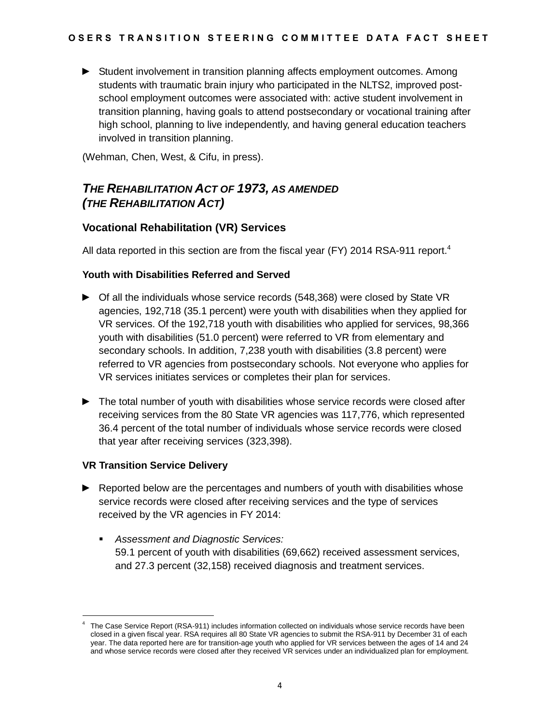► Student involvement in transition planning affects employment outcomes. Among students with traumatic brain injury who participated in the NLTS2, improved postschool employment outcomes were associated with: active student involvement in transition planning, having goals to attend postsecondary or vocational training after high school, planning to live independently, and having general education teachers involved in transition planning.

(Wehman, Chen, West, & Cifu, in press).

## *THE REHABILITATION ACT OF 1973, AS AMENDED (THE REHABILITATION ACT)*

#### **Vocational Rehabilitation (VR) Services**

All data reported in this section are from the fiscal year (FY) 2014 RSA-911 report.<sup>4</sup>

#### **Youth with Disabilities Referred and Served**

- ► Of all the individuals whose service records (548,368) were closed by State VR agencies, 192,718 (35.1 percent) were youth with disabilities when they applied for VR services. Of the 192,718 youth with disabilities who applied for services, 98,366 youth with disabilities (51.0 percent) were referred to VR from elementary and secondary schools. In addition, 7,238 youth with disabilities (3.8 percent) were referred to VR agencies from postsecondary schools. Not everyone who applies for VR services initiates services or completes their plan for services.
- ► The total number of youth with disabilities whose service records were closed after receiving services from the 80 State VR agencies was 117,776, which represented 36.4 percent of the total number of individuals whose service records were closed that year after receiving services (323,398).

#### **VR Transition Service Delivery**

 $\overline{a}$ 

- ► Reported below are the percentages and numbers of youth with disabilities whose service records were closed after receiving services and the type of services received by the VR agencies in FY 2014:
	- *Assessment and Diagnostic Services:* 59.1 percent of youth with disabilities (69,662) received assessment services, and 27.3 percent (32,158) received diagnosis and treatment services.

<sup>4</sup> The Case Service Report (RSA-911) includes information collected on individuals whose service records have been closed in a given fiscal year. RSA requires all 80 State VR agencies to submit the RSA-911 by December 31 of each year. The data reported here are for transition-age youth who applied for VR services between the ages of 14 and 24 and whose service records were closed after they received VR services under an individualized plan for employment.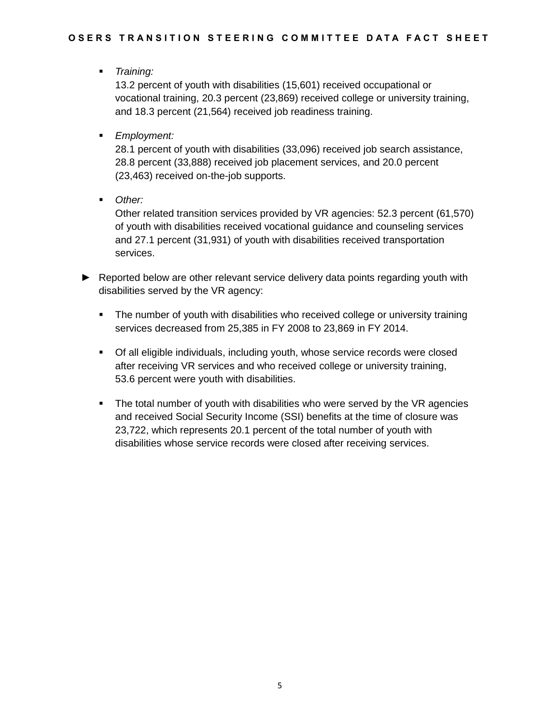*Training:*

13.2 percent of youth with disabilities (15,601) received occupational or vocational training, 20.3 percent (23,869) received college or university training, and 18.3 percent (21,564) received job readiness training.

*Employment:*

28.1 percent of youth with disabilities (33,096) received job search assistance, 28.8 percent (33,888) received job placement services, and 20.0 percent (23,463) received on-the-job supports.

*Other:*

Other related transition services provided by VR agencies: 52.3 percent (61,570) of youth with disabilities received vocational guidance and counseling services and 27.1 percent (31,931) of youth with disabilities received transportation services.

- ► Reported below are other relevant service delivery data points regarding youth with disabilities served by the VR agency:
	- The number of youth with disabilities who received college or university training services decreased from 25,385 in FY 2008 to 23,869 in FY 2014.
	- Of all eligible individuals, including youth, whose service records were closed after receiving VR services and who received college or university training, 53.6 percent were youth with disabilities.
	- The total number of youth with disabilities who were served by the VR agencies and received Social Security Income (SSI) benefits at the time of closure was 23,722, which represents 20.1 percent of the total number of youth with disabilities whose service records were closed after receiving services.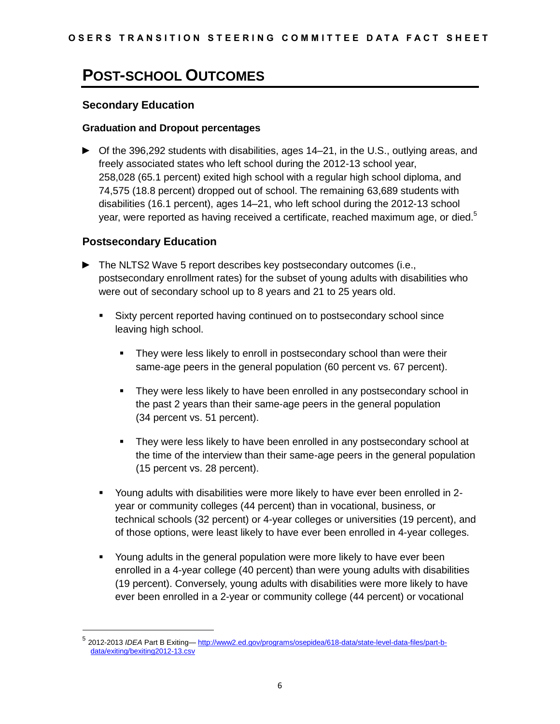## **POST-SCHOOL OUTCOMES**

#### **Secondary Education**

#### **Graduation and Dropout percentages**

► Of the 396,292 students with disabilities, ages 14–21, in the U.S., outlying areas, and freely associated states who left school during the 2012-13 school year, 258,028 (65.1 percent) exited high school with a regular high school diploma, and 74,575 (18.8 percent) dropped out of school. The remaining 63,689 students with disabilities (16.1 percent), ages 14–21, who left school during the 2012-13 school year, were reported as having received a certificate, reached maximum age, or died. $5$ 

#### **Postsecondary Education**

- ► The NLTS2 Wave 5 report describes key postsecondary outcomes (i.e., postsecondary enrollment rates) for the subset of young adults with disabilities who were out of secondary school up to 8 years and 21 to 25 years old.
	- Sixty percent reported having continued on to postsecondary school since leaving high school.
		- **They were less likely to enroll in postsecondary school than were their** same-age peers in the general population (60 percent vs. 67 percent).
		- They were less likely to have been enrolled in any postsecondary school in the past 2 years than their same-age peers in the general population (34 percent vs. 51 percent).
		- They were less likely to have been enrolled in any postsecondary school at the time of the interview than their same-age peers in the general population (15 percent vs. 28 percent).
	- Young adults with disabilities were more likely to have ever been enrolled in 2 year or community colleges (44 percent) than in vocational, business, or technical schools (32 percent) or 4-year colleges or universities (19 percent), and of those options, were least likely to have ever been enrolled in 4-year colleges.
	- Young adults in the general population were more likely to have ever been enrolled in a 4-year college (40 percent) than were young adults with disabilities (19 percent). Conversely, young adults with disabilities were more likely to have ever been enrolled in a 2-year or community college (44 percent) or vocational

<sup>&</sup>lt;sup>5</sup> 2012-2013 *IDEA* Part B Exiting— <u>http://www2.ed.gov/programs/osepidea/618-data/state-level-data-files/part-b-</u> [data/exiting/bexiting2012-13.csv](http://www2.ed.gov/programs/osepidea/618-data/state-level-data-files/part-b-data/exiting/bexiting2012-13.csv)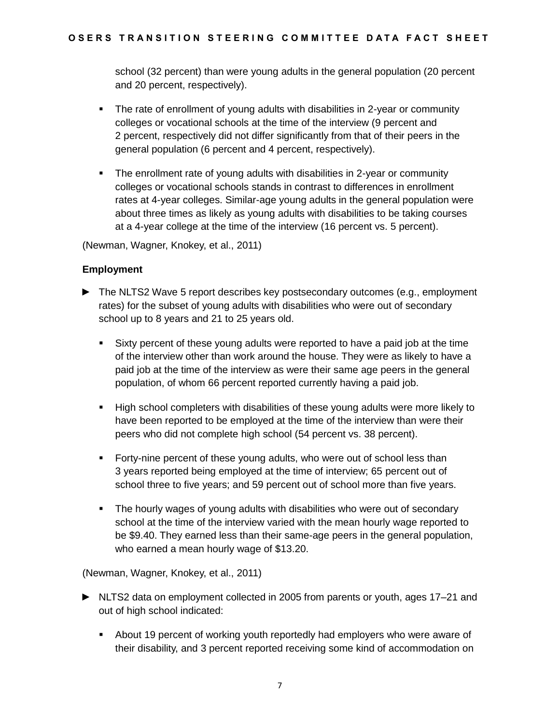school (32 percent) than were young adults in the general population (20 percent and 20 percent, respectively).

- The rate of enrollment of young adults with disabilities in 2-year or community colleges or vocational schools at the time of the interview (9 percent and 2 percent, respectively did not differ significantly from that of their peers in the general population (6 percent and 4 percent, respectively).
- The enrollment rate of young adults with disabilities in 2-year or community colleges or vocational schools stands in contrast to differences in enrollment rates at 4-year colleges. Similar-age young adults in the general population were about three times as likely as young adults with disabilities to be taking courses at a 4-year college at the time of the interview (16 percent vs. 5 percent).

(Newman, Wagner, Knokey, et al., 2011)

#### **Employment**

- ► The NLTS2 Wave 5 report describes key postsecondary outcomes (e.g., employment rates) for the subset of young adults with disabilities who were out of secondary school up to 8 years and 21 to 25 years old.
	- Sixty percent of these young adults were reported to have a paid job at the time of the interview other than work around the house. They were as likely to have a paid job at the time of the interview as were their same age peers in the general population, of whom 66 percent reported currently having a paid job.
	- High school completers with disabilities of these young adults were more likely to have been reported to be employed at the time of the interview than were their peers who did not complete high school (54 percent vs. 38 percent).
	- Forty-nine percent of these young adults, who were out of school less than 3 years reported being employed at the time of interview; 65 percent out of school three to five years; and 59 percent out of school more than five years.
	- The hourly wages of young adults with disabilities who were out of secondary school at the time of the interview varied with the mean hourly wage reported to be \$9.40. They earned less than their same-age peers in the general population, who earned a mean hourly wage of \$13.20.

(Newman, Wagner, Knokey, et al., 2011)

- ► NLTS2 data on employment collected in 2005 from parents or youth, ages 17–21 and out of high school indicated:
	- About 19 percent of working youth reportedly had employers who were aware of their disability, and 3 percent reported receiving some kind of accommodation on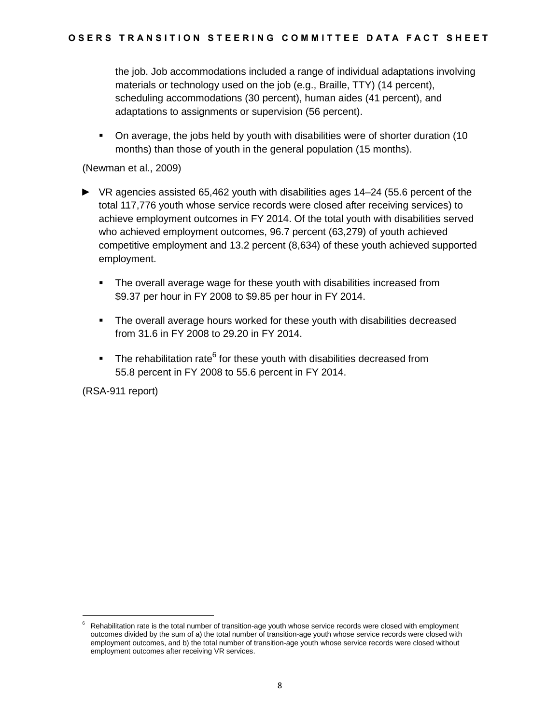the job. Job accommodations included a range of individual adaptations involving materials or technology used on the job (e.g., Braille, TTY) (14 percent), scheduling accommodations (30 percent), human aides (41 percent), and adaptations to assignments or supervision (56 percent).

 On average, the jobs held by youth with disabilities were of shorter duration (10 months) than those of youth in the general population (15 months).

(Newman et al., 2009)

- ► VR agencies assisted 65,462 youth with disabilities ages 14–24 (55.6 percent of the total 117,776 youth whose service records were closed after receiving services) to achieve employment outcomes in FY 2014. Of the total youth with disabilities served who achieved employment outcomes, 96.7 percent (63,279) of youth achieved competitive employment and 13.2 percent (8,634) of these youth achieved supported employment.
	- The overall average wage for these youth with disabilities increased from \$9.37 per hour in FY 2008 to \$9.85 per hour in FY 2014.
	- The overall average hours worked for these youth with disabilities decreased from 31.6 in FY 2008 to 29.20 in FY 2014.
	- The rehabilitation rate<sup>6</sup> for these youth with disabilities decreased from 55.8 percent in FY 2008 to 55.6 percent in FY 2014.

(RSA-911 report)

<sup>6</sup> Rehabilitation rate is the total number of transition-age youth whose service records were closed with employment outcomes divided by the sum of a) the total number of transition-age youth whose service records were closed with employment outcomes, and b) the total number of transition-age youth whose service records were closed without employment outcomes after receiving VR services.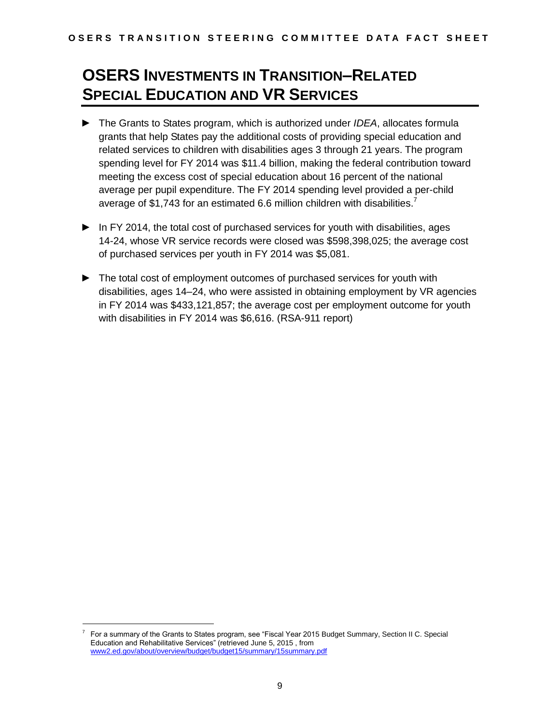# **OSERS INVESTMENTS IN TRANSITION–RELATED SPECIAL EDUCATION AND VR SERVICES**

- ► The Grants to States program, which is authorized under *IDEA*, allocates formula grants that help States pay the additional costs of providing special education and related services to children with disabilities ages 3 through 21 years. The program spending level for FY 2014 was \$11.4 billion, making the federal contribution toward meeting the excess cost of special education about 16 percent of the national average per pupil expenditure. The FY 2014 spending level provided a per-child average of \$1,743 for an estimated 6.6 million children with disabilities.<sup>7</sup>
- ► In FY 2014, the total cost of purchased services for youth with disabilities, ages 14-24, whose VR service records were closed was \$598,398,025; the average cost of purchased services per youth in FY 2014 was \$5,081.
- ► The total cost of employment outcomes of purchased services for youth with disabilities, ages 14–24, who were assisted in obtaining employment by VR agencies in FY 2014 was \$433,121,857; the average cost per employment outcome for youth with disabilities in FY 2014 was \$6,616. (RSA-911 report)

<sup>7</sup> For a summary of the Grants to States program, see "Fiscal Year 2015 Budget Summary, Section II C. Special Education and Rehabilitative Services" (retrieved June 5, 2015 , from www2.ed.gov/about/overview/budget/budget15/summary/15summary.pdf